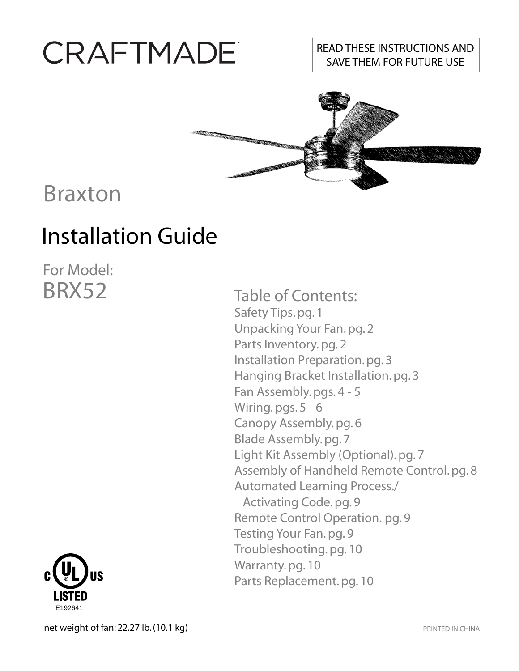# CRAFTMADE

### READ THESE INSTRUCTIONS AND SAVE THEM FOR FUTURE USE



## Braxton

# Installation Guide

For Model: BRX52



Table of Contents: Safety Tips. pg. 1 Unpacking Your Fan. pg. 2 Parts Inventory. pg. 2 Installation Preparation. pg. 3 Hanging Bracket Installation. pg. 3 Fan Assembly. pgs. 4 - 5 Wiring. pgs. 5 - 6 Canopy Assembly. pg. 6 Blade Assembly. pg. 7 Light Kit Assembly (Optional). pg. 7 Assembly of Handheld Remote Control. pg. 8 Automated Learning Process./ Activating Code. pg. 9 Remote Control Operation. pg. 9 Testing Your Fan. pg. 9 Troubleshooting. pg. 10 Warranty.pg. 10 Parts Replacement. pg. 10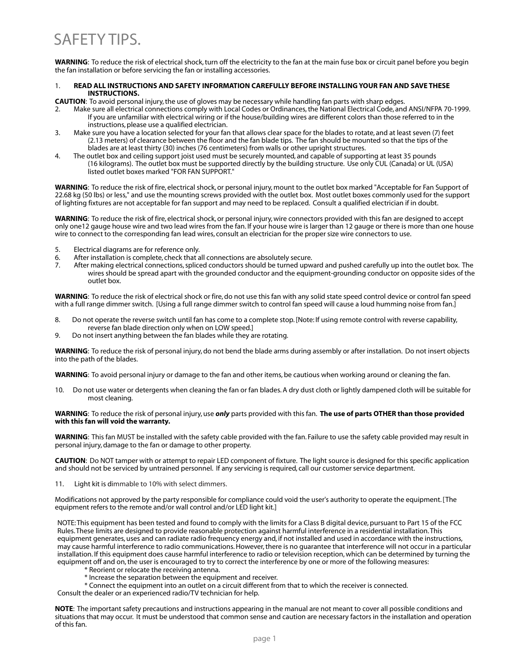## SAFETY TIPS.

**WARNING**: To reduce the risk of electrical shock, turn off the electricity to the fan at the main fuse box or circuit panel before you begin the fan installation or before servicing the fan or installing accessories.

#### 1. **READ ALL INSTRUCTIONS AND SAFETY INFORMATION CAREFULLY BEFORE INSTALLING YOUR FAN AND SAVE THESE INSTRUCTIONS.**

**CAUTION**: To avoid personal injury, the use of gloves may be necessary while handling fan parts with sharp edges.

- 2. Make sure all electrical connections comply with Local Codes or Ordinances, the National Electrical Code, and ANSI/NFPA 70-1999. If you are unfamiliar with electrical wiring or if the house/building wires are different colors than those referred to in the instructions, please use a qualified electrician.
- 3. Make sure you have a location selected for your fan that allows clear space for the blades to rotate, and at least seven (7) feet (2.13 meters) of clearance between the floor and the fan blade tips. The fan should be mounted so that the tips of the blades are at least thirty (30) inches (76 centimeters) from walls or other upright structures.
- 4. The outlet box and ceiling support joist used must be securely mounted, and capable of supporting at least 35 pounds (16 kilograms). The outlet box must be supported directly by the building structure. Use only CUL (Canada) or UL (USA) listed outlet boxes marked "FOR FAN SUPPORT."

**WARNING**: To reduce the risk of fire, electrical shock, or personal injury, mount to the outlet box marked "Acceptable for Fan Support of 22.68 kg (50 lbs) or less," and use the mounting screws provided with the outlet box. Most outlet boxes commonly used for the support of lighting fixtures are not acceptable for fan support and may need to be replaced. Consult a qualified electrician if in doubt.

**WARNING**: To reduce the risk of fire, electrical shock, or personal injury, wire connectors provided with this fan are designed to accept only one12 gauge house wire and two lead wires from the fan. If your house wire is larger than 12 gauge or there is more than one house wire to connect to the corresponding fan lead wires, consult an electrician for the proper size wire connectors to use.

- 5. Electrical diagrams are for reference only.<br>6. After installation is complete, check that a
- After installation is complete, check that all connections are absolutely secure.
- 7. After making electrical connections, spliced conductors should be turned upward and pushed carefully up into the outlet box. The wires should be spread apart with the grounded conductor and the equipment-grounding conductor on opposite sides of the outlet box.

**WARNING**: To reduce the risk of electrical shock or fire, do not use this fan with any solid state speed control device or control fan speed with a full range dimmer switch. [Using a full range dimmer switch to control fan speed will cause a loud humming noise from fan.]

- 8. Do not operate the reverse switch until fan has come to a complete stop. [Note: If using remote control with reverse capability, reverse fan blade direction only when on LOW speed.]
- 9. Do not insert anything between the fan blades while they are rotating.

**WARNING**: To reduce the risk of personal injury, do not bend the blade arms during assembly or after installation. Do not insert objects into the path of the blades.

**WARNING**: To avoid personal injury or damage to the fan and other items, be cautious when working around or cleaning the fan.

10. Do not use water or detergents when cleaning the fan or fan blades. A dry dust cloth or lightly dampened cloth will be suitable for most cleaning.

#### **WARNING**: To reduce the risk of personal injury, use *only* parts provided with this fan. **The use of parts OTHER than those provided with this fan will void the warranty.**

**WARNING**: This fan MUST be installed with the safety cable provided with the fan. Failure to use the safety cable provided may result in personal injury, damage to the fan or damage to other property.

**CAUTION**: Do NOT tamper with or attempt to repair LED component of fixture. The light source is designed for this specific application and should not be serviced by untrained personnel. If any servicing is required, call our customer service department.

11. Light kit is dimmable to 10% with select dimmers.

Modifications not approved by the party responsible for compliance could void the user's authority to operate the equipment. [The equipment refers to the remote and/or wall control and/or LED light kit.]

NOTE: This equipment has been tested and found to comply with the limits for a Class B digital device, pursuant to Part 15 of the FCC Rules. These limits are designed to provide reasonable protection against harmful interference in a residential installation. This equipment generates, uses and can radiate radio frequency energy and, if not installed and used in accordance with the instructions, may cause harmful interference to radio communications. However, there is no guarantee that interference will not occur in a particular installation. If this equipment does cause harmful interference to radio or television reception, which can be determined by turning the equipment off and on, the user is encouraged to try to correct the interference by one or more of the following measures:

- \* Reorient or relocate the receiving antenna.
- \* Increase the separation between the equipment and receiver.
- \* Connect the equipment into an outlet on a circuit different from that to which the receiver is connected.

Consult the dealer or an experienced radio/TV technician for help.

**NOTE**: The important safety precautions and instructions appearing in the manual are not meant to cover all possible conditions and situations that may occur. It must be understood that common sense and caution are necessary factors in the installation and operation of this fan.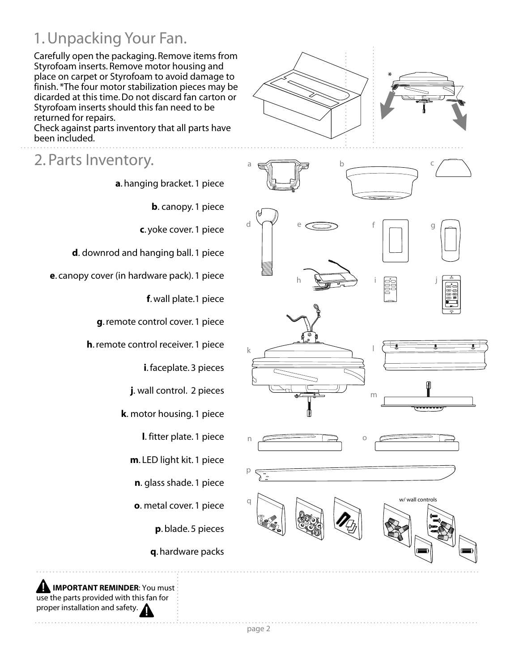## 1. Unpacking Your Fan.

Carefully open the packaging. Remove items from Styrofoam inserts. Remove motor housing and place on carpet or Styrofoam to avoid damage to finish. \*The four motor stabilization pieces may be dicarded at this time. Do not discard fan carton or Styrofoam inserts should this fan need to be returned for repairs.

Check against parts inventory that all parts have been included.

### 2. Parts Inventory.

**a**. hanging bracket. 1 piece

**b**. canopy. 1 piece

**c**. yoke cover. 1 piece

**d**. downrod and hanging ball. 1 piece

**e**. canopy cover (in hardware pack). 1 piece

**f**. wall plate.1 piece

**g**. remote control cover. 1 piece

**h**. remote control receiver. 1 piece

**i**. faceplate. 3 pieces

**j**. wall control. 2 pieces

**k**. motor housing. 1 piece

**l**. fitter plate. 1 piece

**m**. LED light kit. 1 piece

**n**. glass shade. 1 piece

**o**. metal cover. 1 piece

**p**. blade. 5 pieces

**q**. hardware packs





 **IMPORTANT REMINDER**: You must use the parts provided with this fan for proper installation and safety.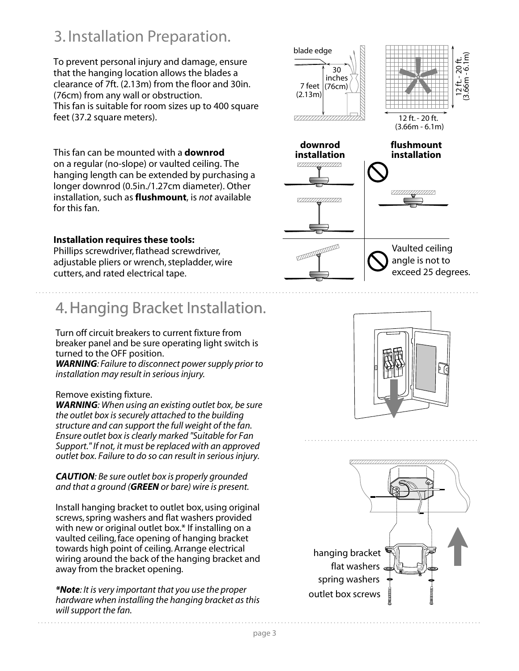## 3. Installation Preparation.

To prevent personal injury and damage, ensure that the hanging location allows the blades a clearance of 7ft. (2.13m) from the floor and 30in. (76cm) from any wall or obstruction. This fan is suitable for room sizes up to 400 square feet (37.2 square meters).

This fan can be mounted with a **downrod** on a regular (no-slope) or vaulted ceiling. The hanging length can be extended by purchasing a longer downrod (0.5in./1.27cm diameter). Other installation, such as **flushmount**, is *not* available for this fan.

### **Installation requires these tools:**

Phillips screwdriver, flathead screwdriver, adjustable pliers or wrench, stepladder, wire cutters, and rated electrical tape.

## 4. Hanging Bracket Installation 4. Hanging Bracket Installation.

Turn off circuit breakers to current fixture from breaker panel and be sure operating light switch is turned to the OFF position.

*WARNING: Failure to disconnect power supply prior to installation may result in serious injury.*

### Remove existing fixture.

*WARNING: When using an existing outlet box, be sure the outlet box is securely attached to the building structure and can support the full weight of the fan. Ensure outlet box is clearly marked "Suitable for Fan Support." If not, it must be replaced with an approved outlet box. Failure to do so can result in serious injury.*

*CAUTION: Be sure outlet box is properly grounded and that a ground (GREEN or bare) wire is present.*

Install hanging bracket to outlet box, using original screws, spring washers and flat washers provided with new or original outlet box.\* If installing on a vaulted ceiling, face opening of hanging bracket towards high point of ceiling. Arrange electrical wiring around the back of the hanging bracket and away from the bracket opening.

*\*Note: It is very important that you use the proper hardware when installing the hanging bracket as this will support the fan.*





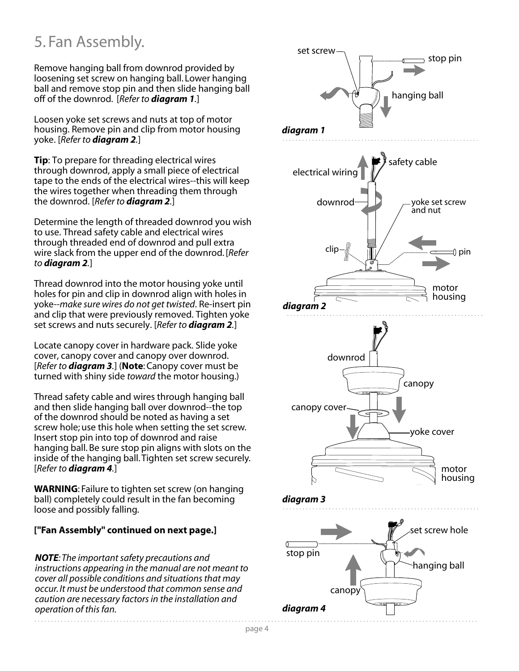## 5. Fan Assembly.

Remove hanging ball from downrod provided by loosening set screw on hanging ball. Lower hanging ball and remove stop pin and then slide hanging ball off of the downrod. [*Refer to diagram 1.*]

Loosen yoke set screws and nuts at top of motor housing. Remove pin and clip from motor housing yoke. [*Refer to diagram 2.*]

**Tip**: To prepare for threading electrical wires through downrod, apply a small piece of electrical tape to the ends of the electrical wires--this will keep the wires together when threading them through the downrod. [*Refer to diagram 2.*]

Determine the length of threaded downrod you wish to use. Thread safety cable and electrical wires through threaded end of downrod and pull extra wire slack from the upper end of the downrod. [*Refer to diagram 2.*]

Thread downrod into the motor housing yoke until holes for pin and clip in downrod align with holes in yoke--*make sure wires do not get twisted*. Re-insert pin and clip that were previously removed. Tighten yoke set screws and nuts securely. [*Refer to diagram 2.*]

Locate canopy cover in hardware pack. Slide yoke cover, canopy cover and canopy over downrod. [*Refer to diagram 3.*] (**Note**: Canopy cover must be turned with shiny side *toward* the motor housing.)

Thread safety cable and wires through hanging ball and then slide hanging ball over downrod--the top of the downrod should be noted as having a set screw hole; use this hole when setting the set screw. Insert stop pin into top of downrod and raise hanging ball. Be sure stop pin aligns with slots on the inside of the hanging ball. Tighten set screw securely. [*Refer to diagram 4.*]

**WARNING**: Failure to tighten set screw (on hanging ball) completely could result in the fan becoming loose and possibly falling.

### **["Fan Assembly" continued on next page.]**

*NOTE: The important safety precautions and instructions appearing in the manual are not meant to cover all possible conditions and situations that may occur. It must be understood that common sense and caution are necessary factors in the installation and operation of this fan.*

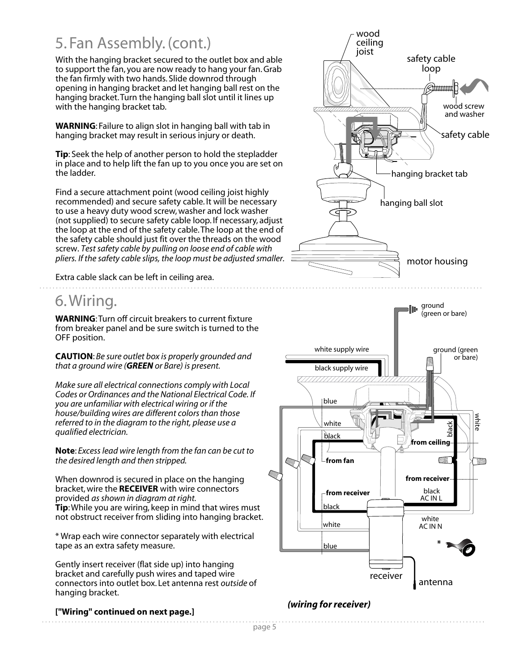## 5. Fan Assembly. (cont.)

With the hanging bracket secured to the outlet box and able to support the fan, you are now ready to hang your fan. Grab the fan firmly with two hands. Slide downrod through opening in hanging bracket and let hanging ball rest on the hanging bracket. Turn the hanging ball slot until it lines up with the hanging bracket tab.

**WARNING**: Failure to align slot in hanging ball with tab in hanging bracket may result in serious injury or death.

**Tip**: Seek the help of another person to hold the stepladder in place and to help lift the fan up to you once you are set on the ladder.

Find a secure attachment point (wood ceiling joist highly recommended) and secure safety cable. It will be necessary to use a heavy duty wood screw, washer and lock washer (not supplied) to secure safety cable loop. If necessary, adjust the loop at the end of the safety cable. The loop at the end of the safety cable should just fit over the threads on the wood screw. *Test safety cable by pulling on loose end of cable with pliers. If the safety cable slips, the loop must be adjusted smaller.*

Extra cable slack can be left in ceiling area.

## 6. Wiring.

**WARNING:** Turn off circuit breakers to current fixture from breaker panel and be sure switch is turned to the OFF position.

**CAUTION**: *Be sure outlet box is properly grounded and that a ground wire (GREEN or Bare) is present.*

*Make sure all electrical connections comply with Local Codes or Ordinances and the National Electrical Code. If you are unfamiliar with electrical wiring or if the house/building wires are different colors than those referred to in the diagram to the right, please use a qualified electrician.*

**Note**: *Excess lead wire length from the fan can be cut to the desired length and then stripped.*

When downrod is secured in place on the hanging bracket, wire the **RECEIVER** with wire connectors provided *as shown in diagram at right.* **Tip**: While you are wiring, keep in mind that wires must not obstruct receiver from sliding into hanging bracket.

\* Wrap each wire connector separately with electrical tape as an extra safety measure.

Gently insert receiver (flat side up) into hanging bracket and carefully push wires and taped wire connectors into outlet box. Let antenna rest *outside* of hanging bracket.

### **["Wiring" continued on next page.]**

wood ceiling joist safety cable loop @duuuuul 1 wood screw and washer safety cable hanging bracket tab hanging ball slot motor housing



### *(wiring for receiver)*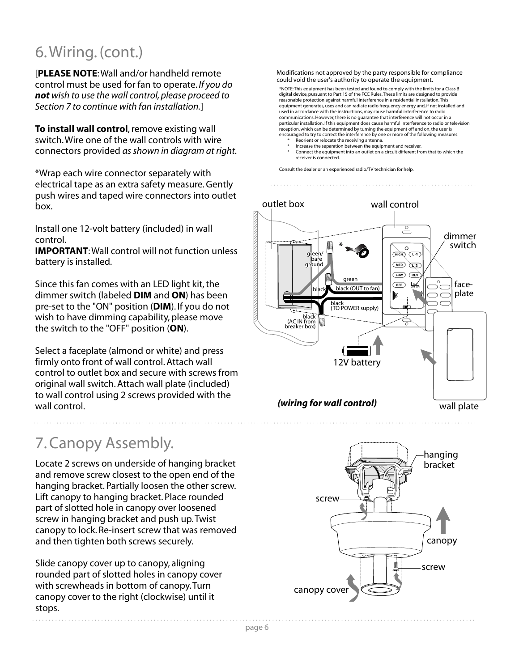## 6. Wiring. (cont.)

[**PLEASE NOTE**: Wall and/or handheld remote control must be used for fan to operate. *If you do not wish to use the wall control, please proceed to Section 7 to continue with fan installation.*]

**To install wall control**, remove existing wall switch. Wire one of the wall controls with wire connectors provided *as shown in diagram at right.*

\*Wrap each wire connector separately with electrical tape as an extra safety measure. Gently push wires and taped wire connectors into outlet box.

Install one 12-volt battery (included) in wall control.

**IMPORTANT**: Wall control will not function unless battery is installed.

Since this fan comes with an LED light kit, the dimmer switch (labeled **DIM** and **ON**) has been pre-set to the "ON" position (**DIM**). If you do not wish to have dimming capability, please move the switch to the "OFF" position (**ON**).

Select a faceplate (almond or white) and press firmly onto front of wall control. Attach wall control to outlet box and secure with screws from original wall switch. Attach wall plate (included) to wall control using 2 screws provided with the wall control. *(wiring for wall control)*

## 7. Canopy Assembly.

Locate 2 screws on underside of hanging bracket and remove screw closest to the open end of the hanging bracket. Partially loosen the other screw. Lift canopy to hanging bracket. Place rounded part of slotted hole in canopy over loosened screw in hanging bracket and push up. Twist canopy to lock. Re-insert screw that was removed and then tighten both screws securely.

Slide canopy cover up to canopy, aligning rounded part of slotted holes in canopy cover with screwheads in bottom of canopy. Turn canopy cover to the right (clockwise) until it stops.

Modifications not approved by the party responsible for compliance could void the user's authority to operate the equipment.

\*NOTE: This equipment has been tested and found to comply with the limits for a Class B digital device, pursuant to Part 15 of the FCC Rules. These limits are designed to provide reasonable protection against harmful interference in a residential installation. This equipment generates, uses and can radiate radio frequency energy and, if not installed and used in accordance with the instructions, may cause harmful interference to radio communications. However, there is no guarantee that interference will not occur in a particular installation. If this equipment does cause harmful interference to radio or television reception, which can be determined by turning the equipment off and on, the user is encouraged to try to correct the interference by one or more of the following measures:

- Reorient or relocate the receiving antenna.
- Increase the separation between the equipment and receiver. Connect the equipment into an outlet on a circuit different from that to which the receiver is connected.

Consult the dealer or an experienced radio/TV technician for help.



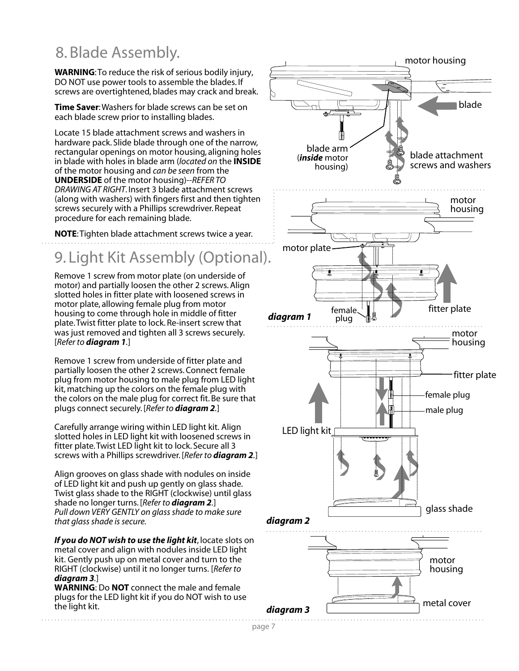## 8. Blade Assembly.

**WARNING**: To reduce the risk of serious bodily injury, DO NOT use power tools to assemble the blades. If screws are overtightened, blades may crack and break.

**Time Saver**: Washers for blade screws can be set on each blade screw prior to installing blades.

Locate 15 blade attachment screws and washers in hardware pack. Slide blade through one of the narrow, rectangular openings on motor housing, aligning holes in blade with holes in blade arm (*located on* the **INSIDE** of the motor housing and *can be seen* from the **UNDERSIDE** of the motor housing)--*REFER TO DRAWING AT RIGHT*. Insert 3 blade attachment screws (along with washers) with fingers first and then tighten screws securely with a Phillips screwdriver. Repeat procedure for each remaining blade.

**NOTE**: Tighten blade attachment screws twice a year.

## 9. Light Kit Assembly (Optional).

Remove 1 screw from motor plate (on underside of motor) and partially loosen the other 2 screws. Align slotted holes in fitter plate with loosened screws in motor plate, allowing female plug from motor housing to come through hole in middle of fitter plate. Twist fitter plate to lock. Re-insert screw that was just removed and tighten all 3 screws securely. [*Refer to diagram 1.*]

Remove 1 screw from underside of fitter plate and partially loosen the other 2 screws. Connect female plug from motor housing to male plug from LED light kit, matching up the colors on the female plug with the colors on the male plug for correct fit. Be sure that plugs connect securely. [*Refer to diagram 2.*]

Carefully arrange wiring within LED light kit. Align slotted holes in LED light kit with loosened screws in fitter plate. Twist LED light kit to lock. Secure all 3 screws with a Phillips screwdriver. [*Refer to diagram 2.*]

Align grooves on glass shade with nodules on inside of LED light kit and push up gently on glass shade. Twist glass shade to the RIGHT (clockwise) until glass shade no longer turns. [*Refer to diagram 2.*] *Pull down VERY GENTLY on glass shade to make sure that glass shade is secure.* 

*If you do NOT wish to use the light kit*, locate slots on metal cover and align with nodules inside LED light kit. Gently push up on metal cover and turn to the RIGHT (clockwise) until it no longer turns. [*Refer to diagram 3.*]

**WARNING**: Do **NOT** connect the male and female plugs for the LED light kit if you do NOT wish to use the light kit.

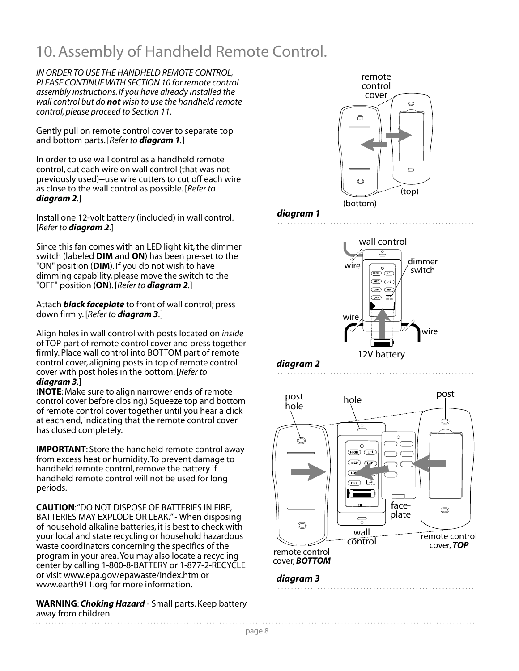## 10. Assembly of Handheld Remote Control.

*IN ORDER TO USE THE HANDHELD REMOTE CONTROL, PLEASE CONTINUE WITH SECTION 10 for remote control assembly instructions. If you have already installed the wall control but do not wish to use the handheld remote control, please proceed to Section 11.*

Gently pull on remote control cover to separate top and bottom parts. [*Refer to diagram 1.*]

In order to use wall control as a handheld remote control, cut each wire on wall control (that was not previously used)--use wire cutters to cut off each wire as close to the wall control as possible. [*Refer to diagram 2.*]

Install one 12-volt battery (included) in wall control. [*Refer to diagram 2.*]

Since this fan comes with an LED light kit, the dimmer switch (labeled **DIM** and **ON**) has been pre-set to the "ON" position (**DIM**). If you do not wish to have dimming capability, please move the switch to the "OFF" position (**ON**). [*Refer to diagram 2.*]

Attach *black faceplate* to front of wall control; press down firmly. [*Refer to diagram 3.*]

Align holes in wall control with posts located on *inside* of TOP part of remote control cover and press together firmly. Place wall control into BOTTOM part of remote control cover, aligning posts in top of remote control cover with post holes in the bottom. [*Refer to diagram 3.*]

(**NOTE**: Make sure to align narrower ends of remote control cover before closing.) Squeeze top and bottom of remote control cover together until you hear a click at each end, indicating that the remote control cover has closed completely.

**IMPORTANT**: Store the handheld remote control away from excess heat or humidity. To prevent damage to handheld remote control, remove the battery if handheld remote control will not be used for long periods.

**CAUTION**: "DO NOT DISPOSE OF BATTERIES IN FIRE, BATTERIES MAY EXPLODE OR LEAK." - When disposing of household alkaline batteries, it is best to check with your local and state recycling or household hazardous waste coordinators concerning the specifics of the program in your area. You may also locate a recycling center by calling 1-800-8-BATTERY or 1-877-2-RECYCLE or visit www.epa.gov/epawaste/index.htm or www.earth911.org for more information.

**WARNING**: *Choking Hazard* - Small parts. Keep battery away from children.

![](_page_8_Picture_12.jpeg)

### *diagram 1*

![](_page_8_Figure_14.jpeg)

![](_page_8_Figure_15.jpeg)

![](_page_8_Picture_16.jpeg)

![](_page_8_Figure_17.jpeg)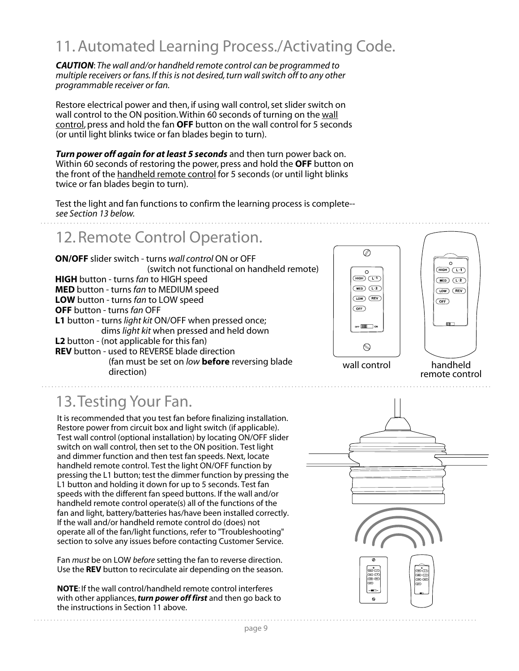## 11. Automated Learning Process./Activating Code.

*CAUTION*: *The wall and/or handheld remote control can be programmed to multiple receivers or fans. If this is not desired, turn wall switch off to any other programmable receiver or fan.*

Restore electrical power and then, if using wall control, set slider switch on wall control to the ON position. Within 60 seconds of turning on the wall control, press and hold the fan **OFF** button on the wall control for 5 seconds (or until light blinks twice or fan blades begin to turn).

*Turn power off again for at least 5 seconds* and then turn power back on. Within 60 seconds of restoring the power, press and hold the **OFF** button on the front of the handheld remote control for 5 seconds (or until light blinks twice or fan blades begin to turn).

Test the light and fan functions to confirm the learning process is complete- *see Section 13 below.*

## 12. Remote Control Operation.

**ON/OFF** slider switch - turns *wall control* ON or OFF (switch not functional on handheld remote) **HIGH** button - turns *fan* to HIGH speed **MED** button - turns *fan* to MEDIUM speed **LOW** button - turns *fan* to LOW speed **OFF** button - turns *fan* OFF **L1** button - turns *light kit* ON/OFF when pressed once; dims *light kit* when pressed and held down **L2** button - (not applicable for this fan) **REV** button - used to REVERSE blade direction (fan must be set on *low* **before** reversing blade direction)

![](_page_9_Figure_7.jpeg)

![](_page_9_Picture_8.jpeg)

handheld remote control

## 13. Testing Your Fan.

It is recommended that you test fan before finalizing installation. Restore power from circuit box and light switch (if applicable). Test wall control (optional installation) by locating ON/OFF slider switch on wall control, then set to the ON position. Test light and dimmer function and then test fan speeds. Next, locate handheld remote control. Test the light ON/OFF function by pressing the L1 button; test the dimmer function by pressing the L1 button and holding it down for up to 5 seconds. Test fan speeds with the different fan speed buttons. If the wall and/or handheld remote control operate(s) all of the functions of the fan and light, battery/batteries has/have been installed correctly. If the wall and/or handheld remote control do (does) not operate all of the fan/light functions, refer to "Troubleshooting" section to solve any issues before contacting Customer Service.

Fan *must* be on LOW *before* setting the fan to reverse direction. Use the **REV** button to recirculate air depending on the season.

**NOTE**: If the wall control/handheld remote control interferes with other appliances, *turn power off first* and then go back to the instructions in Section 11 above.

![](_page_9_Figure_14.jpeg)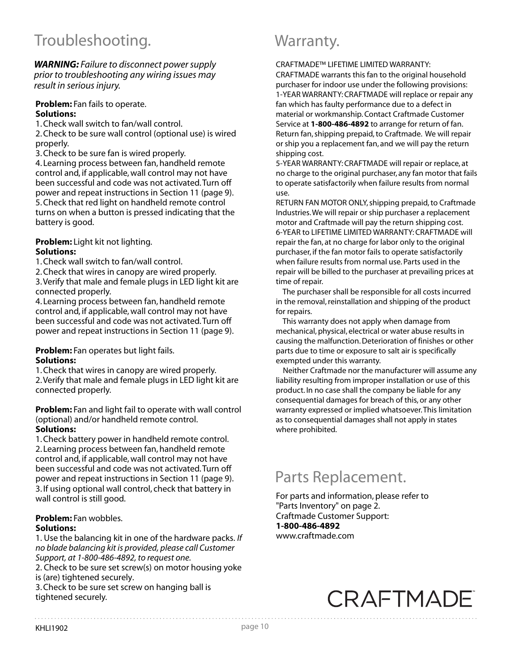## Troubleshooting. Troubleshooting.

*WARNING: Failure to disconnect power supply prior to troubleshooting any wiring issues may result in serious injury.*

### **Problem:** Fan fails to operate. **Solutions:**

1. Check wall switch to fan/wall control.

2. Check to be sure wall control (optional use) is wired properly.

3. Check to be sure fan is wired properly.

4. Learning process between fan, handheld remote control and, if applicable, wall control may not have been successful and code was not activated. Turn off power and repeat instructions in Section 11 (page 9). 5. Check that red light on handheld remote control turns on when a button is pressed indicating that the battery is good.

### **Problem:** Light kit not lighting. **Solutions:**

1. Check wall switch to fan/wall control.

2. Check that wires in canopy are wired properly.

3. Verify that male and female plugs in LED light kit are connected properly.

4. Learning process between fan, handheld remote control and, if applicable, wall control may not have been successful and code was not activated. Turn off power and repeat instructions in Section 11 (page 9).

### **Problem:** Fan operates but light fails. **Solutions:**

1. Check that wires in canopy are wired properly. 2. Verify that male and female plugs in LED light kit are connected properly.

**Problem:** Fan and light fail to operate with wall control (optional) and/or handheld remote control.

### **Solutions:**

1. Check battery power in handheld remote control. 2. Learning process between fan, handheld remote control and, if applicable, wall control may not have been successful and code was not activated. Turn off power and repeat instructions in Section 11 (page 9). 3. If using optional wall control, check that battery in wall control is still good.

### **Problem:** Fan wobbles.

### **Solutions:**

1. Use the balancing kit in one of the hardware packs. *If no blade balancing kit is provided, please call Customer Support, at 1-800-486-4892, to request one.*

2. Check to be sure set screw(s) on motor housing yoke is (are) tightened securely.

3. Check to be sure set screw on hanging ball is tightened securely.

CRAFTMADE™ LIFETIME LIMITED WARRANTY:

CRAFTMADE warrants this fan to the original household purchaser for indoor use under the following provisions: 1-YEAR WARRANTY: CRAFTMADE will replace or repair any fan which has faulty performance due to a defect in material or workmanship. Contact Craftmade Customer Service at **1-800-486-4892** to arrange for return of fan. Return fan, shipping prepaid, to Craftmade. We will repair or ship you a replacement fan, and we will pay the return shipping cost.

5-YEAR WARRANTY: CRAFTMADE will repair or replace, at no charge to the original purchaser, any fan motor that fails to operate satisfactorily when failure results from normal use.

RETURN FAN MOTOR ONLY, shipping prepaid, to Craftmade Industries. We will repair or ship purchaser a replacement motor and Craftmade will pay the return shipping cost. 6-YEAR to LIFETIME LIMITED WARRANTY: CRAFTMADE will repair the fan, at no charge for labor only to the original purchaser, if the fan motor fails to operate satisfactorily when failure results from normal use. Parts used in the repair will be billed to the purchaser at prevailing prices at time of repair.

 The purchaser shall be responsible for all costs incurred in the removal, reinstallation and shipping of the product for repairs.

 This warranty does not apply when damage from mechanical, physical, electrical or water abuse results in causing the malfunction. Deterioration of finishes or other parts due to time or exposure to salt air is specifically exempted under this warranty.

 Neither Craftmade nor the manufacturer will assume any liability resulting from improper installation or use of this product. In no case shall the company be liable for any consequential damages for breach of this, or any other warranty expressed or implied whatsoever. This limitation as to consequential damages shall not apply in states where prohibited.

## Parts Replacement.

For parts and information, please refer to "Parts Inventory" on page 2. Craftmade Customer Support: **1-800-486-4892** www.craftmade.com

# **CRAFTMADE**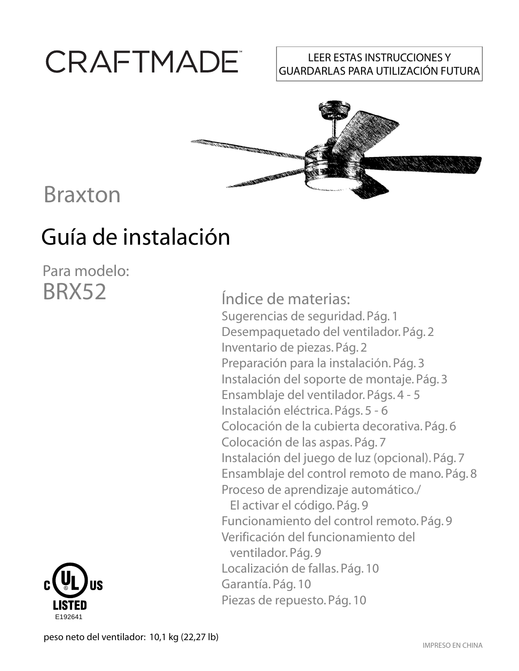# CRAFTMADE

### LEER ESTAS INSTRUCCIONES Y GUARDARLAS PARA UTILIZACIÓN FUTURA

![](_page_11_Picture_2.jpeg)

# Braxton

# Guía de instalación

Para modelo: BRX52

E192641

Índice de materias: Sugerencias de seguridad. Pág. 1 Desempaquetado del ventilador. Pág. 2 Inventario de piezas. Pág. 2 Preparación para la instalación. Pág. 3 Instalación del soporte de montaje. Pág. 3 Ensamblaje del ventilador. Págs. 4 - 5 Instalación eléctrica. Págs. 5 - 6 Colocación de la cubierta decorativa. Pág. 6 Colocación de las aspas. Pág. 7 Instalación del juego de luz (opcional). Pág. 7 Ensamblaje del control remoto de mano. Pág. 8 Proceso de aprendizaje automático./ El activar el código. Pág. 9 Funcionamiento del control remoto. Pág. 9 Verificación del funcionamiento del ventilador. Pág. 9 Localización de fallas. Pág. 10 Garantía. Pág. 10 Piezas de repuesto. Pág. 10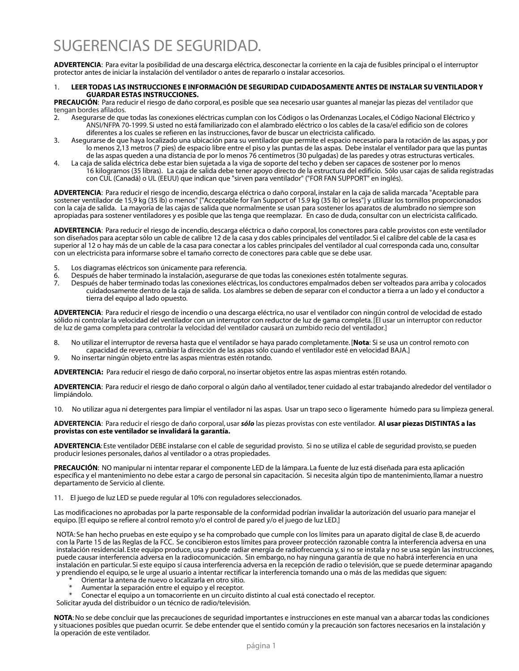**ADVERTENCIA**: Para evitar la posibilidad de una descarga eléctrica, desconectar la corriente en la caja de fusibles principal o el interruptor protector antes de iniciar la instalación del ventilador o antes de repararlo o instalar accesorios.

#### 1. **LEER TODAS LAS INSTRUCCIONES E INFORMACIÓN DE SEGURIDAD CUIDADOSAMENTE ANTES DE INSTALAR SU VENTILADOR Y GUARDAR ESTAS INSTRUCCIONES.**

**PRECAUCIÓN**: Para reducir el riesgo de daño corporal, es posible que sea necesario usar guantes al manejar las piezas del ventilador que tengan bordes afilados.

- 2. Asegurarse de que todas las conexiones eléctricas cumplan con los Códigos o las Ordenanzas Locales, el Código Nacional Eléctrico y ANSI/NFPA 70-1999. Si usted no está familiarizado con el alambrado eléctrico o los cables de la casa/el edificio son de colores diferentes a los cuales se refieren en las instrucciones, favor de buscar un electricista calificado.
- 3. Asegurarse de que haya localizado una ubicación para su ventilador que permite el espacio necesario para la rotación de las aspas, y por lo menos 2,13 metros (7 pies) de espacio libre entre el piso y las puntas de las aspas. Debe instalar el ventilador para que las puntas de las aspas queden a una distancia de por lo menos 76 centímetros (30 pulgadas) de las paredes y otras estructuras verticales.
- 4. La caja de salida eléctrica debe estar bien sujetada a la viga de soporte del techo y deben ser capaces de sostener por lo menos 16 kilogramos (35 libras). La caja de salida debe tener apoyo directo de la estructura del edificio. Sólo usar cajas de salida registradas con CUL (Canadá) o UL (EEUU) que indican que "sirven para ventilador" ("FOR FAN SUPPORT" en inglés).

**ADVERTENCIA**: Para reducir el riesgo de incendio, descarga eléctrica o daño corporal, instalar en la caja de salida marcada "Aceptable para sostener ventilador de 15,9 kg (35 lb) o menos" ["Acceptable for Fan Support of 15.9 kg (35 lb) or less"] y utilizar los tornillos proporcionados con la caja de salida. La mayoría de las cajas de salida que normalmente se usan para sostener los aparatos de alumbrado no siempre son apropiadas para sostener ventiladores y es posible que las tenga que reemplazar. En caso de duda, consultar con un electricista calificado.

**ADVERTENCIA**: Para reducir el riesgo de incendio, descarga eléctrica o daño corporal, los conectores para cable provistos con este ventilador son diseñados para aceptar sólo un cable de calibre 12 de la casa y dos cables principales del ventilador. Si el calibre del cable de la casa es superior al 12 o hay más de un cable de la casa para conectar a los cables principales del ventilador al cual corresponda cada uno, consultar con un electricista para informarse sobre el tamaño correcto de conectores para cable que se debe usar.

- 5. Los diagramas eléctricos son únicamente para referencia.<br>6. Después de haber terminado la instalación, asegurarse de
- 6. Después de haber terminado la instalación, asegurarse de que todas las conexiones estén totalmente seguras.
- 7. Después de haber terminado todas las conexiones eléctricas, los conductores empalmados deben ser volteados para arriba y colocados cuidadosamente dentro de la caja de salida. Los alambres se deben de separar con el conductor a tierra a un lado y el conductor a tierra del equipo al lado opuesto.

**ADVERTENCIA**: Para reducir el riesgo de incendio o una descarga eléctrica, no usar el ventilador con ningún control de velocidad de estado sólido ni controlar la velocidad del ventilador con un interruptor con reductor de luz de gama completa. [El usar un interruptor con reductor de luz de gama completa para controlar la velocidad del ventilador causará un zumbido recio del ventilador.]

- 8. No utilizar el interruptor de reversa hasta que el ventilador se haya parado completamente. [**Nota**: Si se usa un control remoto con capacidad de reversa, cambiar la dirección de las aspas sólo cuando el ventilador esté en velocidad BAJA.]
- 9. No insertar ningún objeto entre las aspas mientras estén rotando.

**ADVERTENCIA:** Para reducir el riesgo de daño corporal, no insertar objetos entre las aspas mientras estén rotando.

**ADVERTENCIA**: Para reducir el riesgo de daño corporal o algún daño al ventilador, tener cuidado al estar trabajando alrededor del ventilador o limpiándolo.

10. No utilizar agua ni detergentes para limpiar el ventilador ni las aspas. Usar un trapo seco o ligeramente húmedo para su limpieza general.

**ADVERTENCIA**: Para reducir el riesgo de daño corporal, usar *sólo* las piezas provistas con este ventilador. **Al usar piezas DISTINTAS a las provistas con este ventilador se invalidará la garantía.**

**ADVERTENCIA**: Este ventilador DEBE instalarse con el cable de seguridad provisto. Si no se utiliza el cable de seguridad provisto, se pueden producir lesiones personales, daños al ventilador o a otras propiedades.

**PRECAUCIÓN**: NO manipular ni intentar reparar el componente LED de la lámpara. La fuente de luz está diseñada para esta aplicación específica y el mantenimiento no debe estar a cargo de personal sin capacitación. Si necesita algún tipo de mantenimiento, llamar a nuestro departamento de Servicio al cliente.

11. El juego de luz LED se puede regular al 10% con reguladores seleccionados.

Las modificaciones no aprobadas por la parte responsable de la conformidad podrían invalidar la autorización del usuario para manejar el equipo. [El equipo se refiere al control remoto y/o el control de pared y/o el juego de luz LED.]

NOTA: Se han hecho pruebas en este equipo y se ha comprobado que cumple con los límites para un aparato digital de clase B, de acuerdo con la Parte 15 de las Reglas de la FCC. Se concibieron estos límites para proveer protección razonable contra la interferencia adversa en una instalación residencial. Este equipo produce, usa y puede radiar energía de radiofrecuencia y, si no se instala y no se usa según las instrucciones, puede causar interferencia adversa en la radiocomunicación. Sin embargo, no hay ninguna garantía de que no habrá interferencia en una instalación en particular. Si este equipo sí causa interferencia adversa en la recepción de radio o televisión, que se puede determinar apagando y prendiendo el equipo, se le urge al usuario a intentar rectificar la interferencia tomando una o más de las medidas que siguen:

- Orientar la antena de nuevo o localizarla en otro sitio.
- Aumentar la separación entre el equipo y el receptor.
- Conectar el equipo a un tomacorriente en un circuito distinto al cual está conectado el receptor.

Solicitar ayuda del distribuidor o un técnico de radio/televisión.

**NOTA**: No se debe concluir que las precauciones de seguridad importantes e instrucciones en este manual van a abarcar todas las condiciones y situaciones posibles que puedan ocurrir. Se debe entender que el sentido común y la precaución son factores necesarios en la instalación y la operación de este ventilador.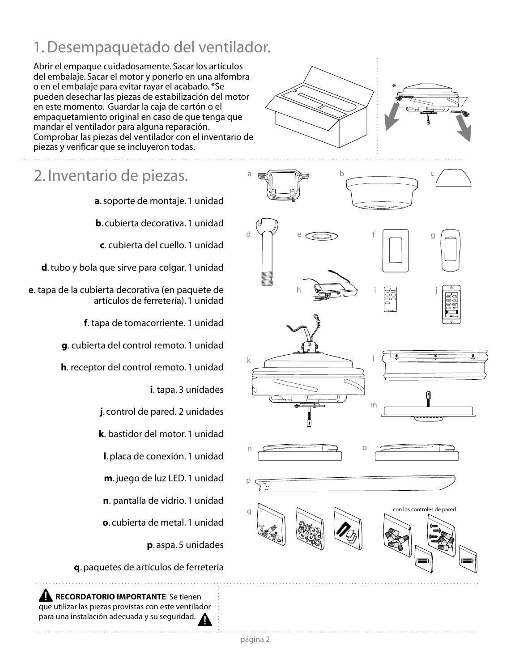## 1. Desempaquetado del ventilador.

Abrir el empaque cuidadosamente. Sacar los artículos del embalaje. Sacar el motor y ponerlo en una alfombra o en el embalaje para evitar rayar el acabado. \*Se pueden desechar las piezas de estabilización del motor en este momento. Guardar la caja de cartón o el empaquetamiento original en caso de que tenga que mandar el ventilador para alguna reparación. Comprobar las piezas del ventilador con el inventario de piezas y verificar que se incluyeron todas.

2. Inventario de piezas.

**a**. soporte de montaje. 1 unidad

**b**. cubierta decorativa. 1 unidad

**c**. cubierta del cuello. 1 unidad

**d**. tubo y bola que sirve para colgar. 1 unidad

**e**. tapa de la cubierta decorativa (en paquete de artículos de ferretería). 1 unidad

**f**. tapa de tomacorriente. 1 unidad

**g**. cubierta del control remoto. 1 unidad

**h**. receptor del control remoto. 1 unidad

**i**. tapa. 3 unidades

**j**. control de pared. 2 unidades

**k**. bastidor del motor. 1 unidad

**l**. placa de conexión. 1 unidad

**m**. juego de luz LED. 1 unidad

**n**. pantalla de vidrio. 1 unidad

**o**. cubierta de metal. 1 unidad

**p**. aspa. 5 unidades

**q**. paquetes de artículos de ferretería

 **RECORDATORIO IMPORTANTE**: Se tienen que utilizar las piezas provistas con este ventilador para una instalación adecuada y su seguridad.

![](_page_13_Picture_21.jpeg)

![](_page_13_Figure_22.jpeg)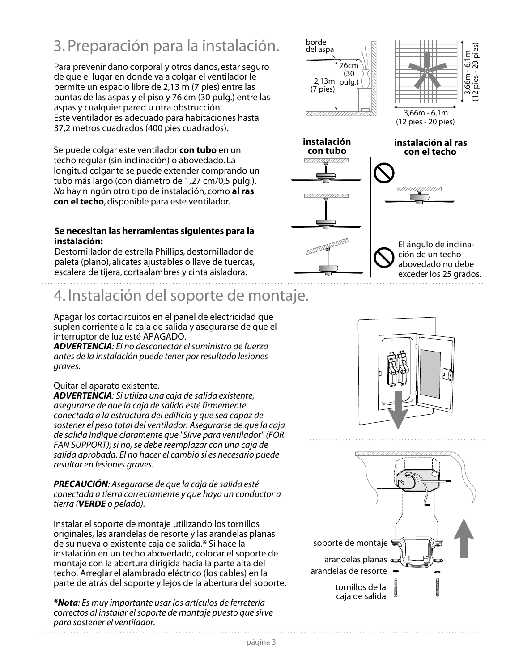## 3. Preparación para la instalación.

Para prevenir daño corporal y otros daños, estar seguro de que el lugar en donde va a colgar el ventilador le permite un espacio libre de 2,13 m (7 pies) entre las puntas de las aspas y el piso y 76 cm (30 pulg.) entre las aspas y cualquier pared u otra obstrucción. Este ventilador es adecuado para habitaciones hasta 37,2 metros cuadrados (400 pies cuadrados).

Se puede colgar este ventilador **con tubo** en un techo regular (sin inclinación) o abovedado. La longitud colgante se puede extender comprando un tubo más largo (con diámetro de 1,27 cm/0,5 pulg.). *No* hay ningún otro tipo de instalación, como **al ras con el techo**, disponible para este ventilador.

### **Se necesitan las herramientas siguientes para la instalación:**

Destornillador de estrella Phillips, destornillador de paleta (plano), alicates ajustables o llave de tuercas, escalera de tijera, cortaalambres y cinta aisladora.

## 4. Instalación del soporte de montaje.

Apagar los cortacircuitos en el panel de electricidad que suplen corriente a la caja de salida y asegurarse de que el interruptor de luz esté APAGADO.

*ADVERTENCIA: El no desconectar el suministro de fuerza antes de la instalación puede tener por resultado lesiones graves.*

### Quitar el aparato existente.

*ADVERTENCIA: Si utiliza una caja de salida existente, asegurarse de que la caja de salida esté firmemente conectada a la estructura del edificio y que sea capaz de sostener el peso total del ventilador. Asegurarse de que la caja de salida indique claramente que "Sirve para ventilador" (FOR FAN SUPPORT); si no, se debe reemplazar con una caja de salida aprobada. El no hacer el cambio si es necesario puede resultar en lesiones graves.*

*PRECAUCIÓN: Asegurarse de que la caja de salida esté conectada a tierra correctamente y que haya un conductor a tierra (VERDE o pelado).* 

Instalar el soporte de montaje utilizando los tornillos originales, las arandelas de resorte y las arandelas planas de su nueva o existente caja de salida.**\*** Si hace la instalación en un techo abovedado, colocar el soporte de montaje con la abertura dirigida hacia la parte alta del techo. Arreglar el alambrado eléctrico (los cables) en la parte de atrás del soporte y lejos de la abertura del soporte.

*\*Nota: Es muy importante usar los artículos de ferretería correctos al instalar el soporte de montaje puesto que sirve para sostener el ventilador.* 

![](_page_14_Figure_13.jpeg)

![](_page_14_Picture_14.jpeg)

![](_page_14_Figure_15.jpeg)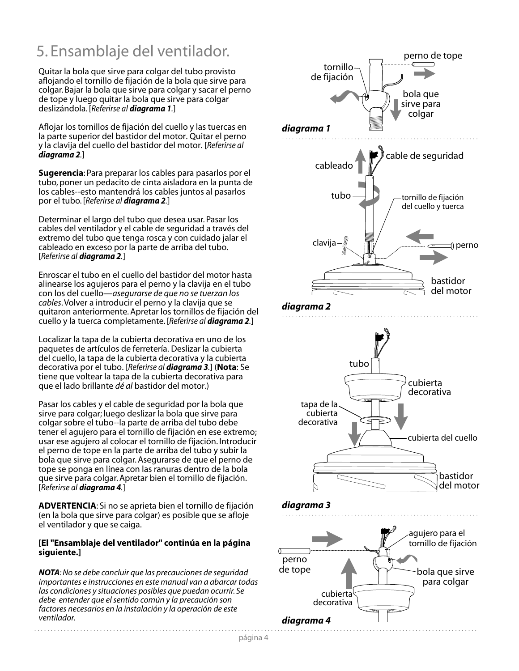## 5. Ensamblaje del ventilador.

Quitar la bola que sirve para colgar del tubo provisto aflojando el tornillo de fijación de la bola que sirve para colgar. Bajar la bola que sirve para colgar y sacar el perno de tope y luego quitar la bola que sirve para colgar deslizándola. [*Referirse al diagrama 1.*]

Aflojar los tornillos de fijación del cuello y las tuercas en la parte superior del bastidor del motor. Quitar el perno y la clavija del cuello del bastidor del motor. [*Referirse al diagrama 2.*]

**Sugerencia**: Para preparar los cables para pasarlos por el tubo, poner un pedacito de cinta aisladora en la punta de los cables--esto mantendrá los cables juntos al pasarlos por el tubo. [*Referirse al diagrama 2.*]

Determinar el largo del tubo que desea usar. Pasar los cables del ventilador y el cable de seguridad a través del extremo del tubo que tenga rosca y con cuidado jalar el cableado en exceso por la parte de arriba del tubo. [*Referirse al diagrama 2.*]

Enroscar el tubo en el cuello del bastidor del motor hasta alinearse los agujeros para el perno y la clavija en el tubo con los del cuello—*asegurarse de que no se tuerzan los cables*. Volver a introducir el perno y la clavija que se quitaron anteriormente. Apretar los tornillos de fijación del cuello y la tuerca completamente. [*Referirse al diagrama 2.*]

Localizar la tapa de la cubierta decorativa en uno de los paquetes de artículos de ferretería. Deslizar la cubierta del cuello, la tapa de la cubierta decorativa y la cubierta decorativa por el tubo. [*Referirse al diagrama 3.*] (**Nota**: Se tiene que voltear la tapa de la cubierta decorativa para que el lado brillante *dé al* bastidor del motor.)

Pasar los cables y el cable de seguridad por la bola que sirve para colgar; luego deslizar la bola que sirve para colgar sobre el tubo--la parte de arriba del tubo debe tener el agujero para el tornillo de fijación en ese extremo; usar ese agujero al colocar el tornillo de fijación. Introducir el perno de tope en la parte de arriba del tubo y subir la bola que sirve para colgar. Asegurarse de que el perno de tope se ponga en línea con las ranuras dentro de la bola que sirve para colgar. Apretar bien el tornillo de fijación. [*Referirse al diagrama 4.*]

**ADVERTENCIA**: Si no se aprieta bien el tornillo de fijación (en la bola que sirve para colgar) es posible que se afloje el ventilador y que se caiga.

### **[El "Ensamblaje del ventilador" continúa en la página siguiente.]**

*NOTA: No se debe concluir que las precauciones de seguridad importantes e instrucciones en este manual van a abarcar todas las condiciones y situaciones posibles que puedan ocurrir. Se debe entender que el sentido común y la precaución son factores necesarios en la instalación y la operación de este ventilador.*

![](_page_15_Figure_11.jpeg)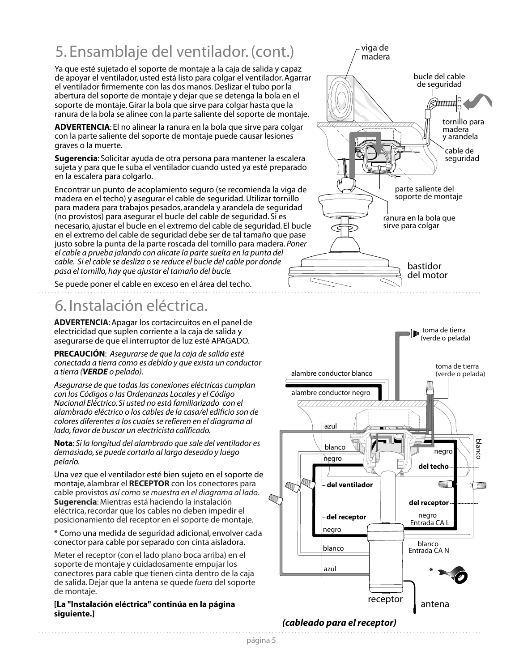## 5. Ensamblaje del ventilador. (cont.)

Ya que esté sujetado el soporte de montaje a la caja de salida y capaz de apoyar el ventilador, usted está listo para colgar el ventilador. Agarrar el ventilador firmemente con las dos manos. Deslizar el tubo por la abertura del soporte de montaje y dejar que se detenga la bola en el soporte de montaje. Girar la bola que sirve para colgar hasta que la ranura de la bola se alinee con la parte saliente del soporte de montaje.

**ADVERTENCIA**: El no alinear la ranura en la bola que sirve para colgar con la parte saliente del soporte de montaje puede causar lesiones graves o la muerte.

**Sugerencia**: Solicitar ayuda de otra persona para mantener la escalera sujeta y para que le suba el ventilador cuando usted ya esté preparado en la escalera para colgarlo.

Encontrar un punto de acoplamiento seguro (se recomienda la viga de madera en el techo) y asegurar el cable de seguridad. Utilizar tornillo para madera para trabajos pesados, arandela y arandela de seguridad (no provistos) para asegurar el bucle del cable de seguridad. Si es necesario, ajustar el bucle en el extremo del cable de seguridad. El bucle en el extremo del cable de seguridad debe ser de tal tamaño que pase justo sobre la punta de la parte roscada del tornillo para madera. *Poner el cable a prueba jalando con alicate la parte suelta en la punta del cable. Si el cable se desliza o se reduce el bucle del cable por donde pasa el tornillo, hay que ajustar el tamaño del bucle.*

Se puede poner el cable en exceso en el área del techo.

## 6. Instalación eléctrica.

**ADVERTENCIA**: Apagar los cortacircuitos en el panel de electricidad que suplen corriente a la caja de salida y asegurarse de que el interruptor de luz esté APAGADO.

**PRECAUCIÓN**: *Asegurarse de que la caja de salida esté conectada a tierra como es debido y que exista un conductor a tierra (VERDE o pelado)*.

*Asegurarse de que todas las conexiones eléctricas cumplan con los Códigos o las Ordenanzas Locales y el Código Nacional Eléctrico. Si usted no está familiarizado con el alambrado eléctrico o los cables de la casa/el edificio son de colores diferentes a los cuales se refieren en el diagrama al lado, favor de buscar un electricista calificado.*

**Nota**: *Si la longitud del alambrado que sale del ventilador es demasiado, se puede cortarlo al largo deseado y luego pelarlo.*

Una vez que el ventilador esté bien sujeto en el soporte de montaje, alambrar el **RECEPTOR** con los conectores para cable provistos *así como se muestra en el diagrama al lado*. **Sugerencia**: Mientras está haciendo la instalación eléctrica, recordar que los cables no deben impedir el posicionamiento del receptor en el soporte de montaje.

\* Como una medida de seguridad adicional, envolver cada conector para cable por separado con cinta aisladora.

Meter el receptor (con el lado plano boca arriba) en el soporte de montaje y cuidadosamente empujar los conectores para cable que tienen cinta dentro de la caja de salida. Dejar que la antena se quede *fuera* del soporte de montaje.

### **[La "Instalación eléctrica" continúa en la página siguiente.]**

![](_page_16_Figure_15.jpeg)

![](_page_16_Figure_16.jpeg)

### *(cableado para el receptor)*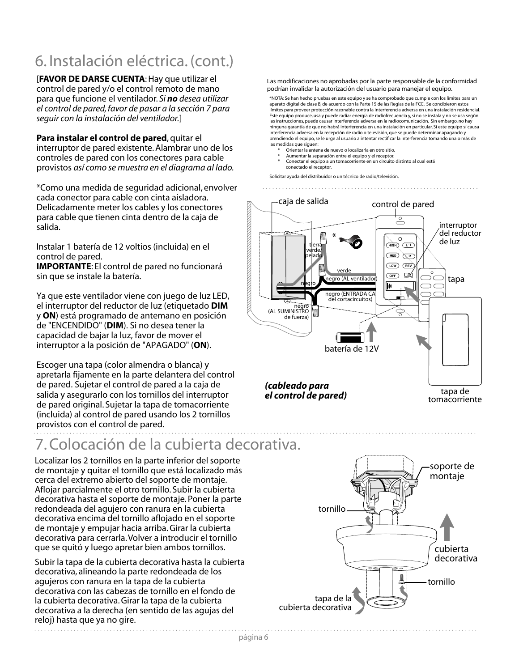## 6. Instalación eléctrica. (cont.)

[**FAVOR DE DARSE CUENTA**: Hay que utilizar el control de pared y/o el control remoto de mano para que funcione el ventilador. *Si no desea utilizar el control de pared, favor de pasar a la sección 7 para seguir con la instalación del ventilador.*]

**Para instalar el control de pared**, quitar el interruptor de pared existente. Alambrar uno de los controles de pared con los conectores para cable provistos *así como se muestra en el diagrama al lado.*

\*Como una medida de seguridad adicional, envolver cada conector para cable con cinta aisladora. Delicadamente meter los cables y los conectores para cable que tienen cinta dentro de la caja de salida.

Instalar 1 batería de 12 voltios (incluida) en el control de pared. **IMPORTANTE**: El control de pared no funcionará sin que se instale la batería.

Ya que este ventilador viene con juego de luz LED, el interruptor del reductor de luz (etiquetado **DIM** y **ON**) está programado de antemano en posición de "ENCENDIDO" (**DIM**). Si no desea tener la capacidad de bajar la luz, favor de mover el interruptor a la posición de "APAGADO" (**ON**).

Escoger una tapa (color almendra o blanca) y apretarla fijamente en la parte delantera del control de pared. Sujetar el control de pared a la caja de salida y asegurarlo con los tornillos del interruptor de pared original. Sujetar la tapa de tomacorriente (incluida) al control de pared usando los 2 tornillos provistos con el control de pared.

## 7. Colocación de la cubierta decorativa.

Localizar los 2 tornillos en la parte inferior del soporte de montaje y quitar el tornillo que está localizado más cerca del extremo abierto del soporte de montaje. Aflojar parcialmente el otro tornillo. Subir la cubierta decorativa hasta el soporte de montaje. Poner la parte redondeada del agujero con ranura en la cubierta decorativa encima del tornillo aflojado en el soporte de montaje y empujar hacia arriba. Girar la cubierta decorativa para cerrarla. Volver a introducir el tornillo que se quitó y luego apretar bien ambos tornillos.

Subir la tapa de la cubierta decorativa hasta la cubierta decorativa, alineando la parte redondeada de los agujeros con ranura en la tapa de la cubierta decorativa con las cabezas de tornillo en el fondo de la cubierta decorativa. Girar la tapa de la cubierta decorativa a la derecha (en sentido de las agujas del reloj) hasta que ya no gire.

Las modificaciones no aprobadas por la parte responsable de la conformidad podrían invalidar la autorización del usuario para manejar el equipo.

\*NOTA: Se han hecho pruebas en este equipo y se ha comprobado que cumple con los límites para un aparato digital de clase B, de acuerdo con la Parte 15 de las Reglas de la FCC. Se concibieron estos límites para proveer protección razonable contra la interferencia adversa en una instalación residencial. Este equipo produce, usa y puede radiar energía de radiofrecuencia y, si no se instala y no se usa según las instrucciones, puede causar interferencia adversa en la radiocomunicación. Sin embargo, no hay ninguna garantía de que no habrá interferencia en una instalación en particular. Si este equipo sí causa interferencia adversa en la recepción de radio o televisión, que se puede determinar apagando y prendiendo el equipo, se le urge al usuario a intentar rectificar la interferencia tomando una o más de las medidas que siguen:

- Orientar la antena de nuevo o localizarla en otro sitio.
- Aumentar la separación entre el equipo y el receptor. Conectar el equipo a un tomacorriente en un circuito distinto al cual está
- conectado el receptor.

Solicitar ayuda del distribuidor o un técnico de radio/televisión.

![](_page_17_Figure_16.jpeg)

![](_page_17_Figure_17.jpeg)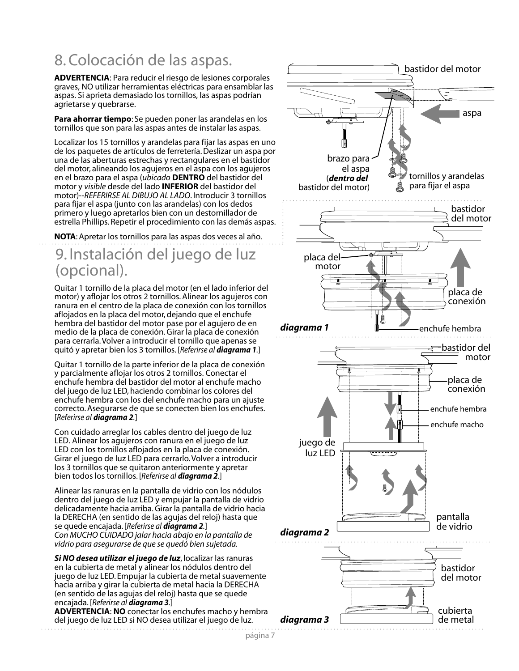## 8. Colocación de las aspas.

**ADVERTENCIA**: Para reducir el riesgo de lesiones corporales graves, NO utilizar herramientas eléctricas para ensamblar las aspas. Si aprieta demasiado los tornillos, las aspas podrían agrietarse y quebrarse.

**Para ahorrar tiempo**: Se pueden poner las arandelas en los tornillos que son para las aspas antes de instalar las aspas.

Localizar los 15 tornillos y arandelas para fijar las aspas en uno de los paquetes de artículos de ferretería. Deslizar un aspa por una de las aberturas estrechas y rectangulares en el bastidor del motor, alineando los agujeros en el aspa con los agujeros en el brazo para el aspa (*ubicado* **DENTRO** del bastidor del motor y *visible* desde del lado **INFERIOR** del bastidor del motor)--*REFERIRSE AL DIBUJO AL LADO*. Introducir 3 tornillos para fijar el aspa (junto con las arandelas) con los dedos primero y luego apretarlos bien con un destornillador de estrella Phillips. Repetir el procedimiento con las demás aspas.

**NOTA**: Apretar los tornillos para las aspas dos veces al año.

## 9. Instalación del juego de luz (opcional).

Quitar 1 tornillo de la placa del motor (en el lado inferior del motor) y aflojar los otros 2 tornillos. Alinear los agujeros con ranura en el centro de la placa de conexión con los tornillos aflojados en la placa del motor, dejando que el enchufe hembra del bastidor del motor pase por el agujero de en medio de la placa de conexión. Girar la placa de conexión para cerrarla. Volver a introducir el tornillo que apenas se quitó y apretar bien los 3 tornillos. [*Referirse al diagrama 1.*]

Quitar 1 tornillo de la parte inferior de la placa de conexión y parcialmente aflojar los otros 2 tornillos. Conectar el enchufe hembra del bastidor del motor al enchufe macho del juego de luz LED, haciendo combinar los colores del enchufe hembra con los del enchufe macho para un ajuste correcto. Asegurarse de que se conecten bien los enchufes. [*Referirse al diagrama 2.*]

Con cuidado arreglar los cables dentro del juego de luz LED. Alinear los agujeros con ranura en el juego de luz LED con los tornillos aflojados en la placa de conexión. Girar el juego de luz LED para cerrarlo. Volver a introducir los 3 tornillos que se quitaron anteriormente y apretar bien todos los tornillos. [*Referirse al diagrama 2.*]

Alinear las ranuras en la pantalla de vidrio con los nódulos dentro del juego de luz LED y empujar la pantalla de vidrio delicadamente hacia arriba. Girar la pantalla de vidrio hacia la DERECHA (en sentido de las agujas del reloj) hasta que se quede encajada. [*Referirse al diagrama 2.*] *Con MUCHO CUIDADO jalar hacia abajo en la pantalla de vidrio para asegurarse de que se quedó bien sujetada.*

*Si NO desea utilizar el juego de luz*, localizar las ranuras en la cubierta de metal y alinear los nódulos dentro del juego de luz LED. Empujar la cubierta de metal suavemente hacia arriba y girar la cubierta de metal hacia la DERECHA (en sentido de las agujas del reloj) hasta que se quede encajada. [*Referirse al diagrama 3.*]

**ADVERTENCIA**: **NO** conectar los enchufes macho y hembra del juego de luz LED si NO desea utilizar el juego de luz.

![](_page_18_Figure_12.jpeg)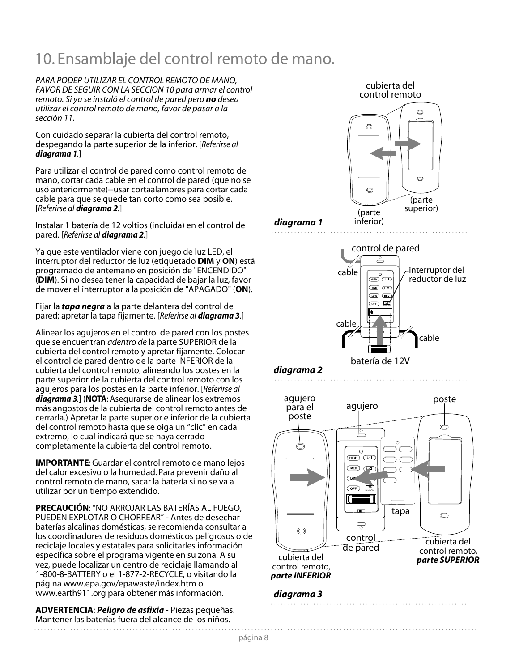## 10. Ensamblaje del control remoto de mano.

*PARA PODER UTILIZAR EL CONTROL REMOTO DE MANO, FAVOR DE SEGUIR CON LA SECCION 10 para armar el control remoto. Si ya se instaló el control de pared pero no desea utilizar el control remoto de mano, favor de pasar a la sección 11.*

Con cuidado separar la cubierta del control remoto, despegando la parte superior de la inferior. [*Referirse al diagrama 1.*]

Para utilizar el control de pared como control remoto de mano, cortar cada cable en el control de pared (que no se usó anteriormente)--usar cortaalambres para cortar cada cable para que se quede tan corto como sea posible. [*Referirse al diagrama 2.*]

Instalar 1 batería de 12 voltios (incluida) en el control de pared. [*Referirse al diagrama 2.*]

Ya que este ventilador viene con juego de luz LED, el interruptor del reductor de luz (etiquetado **DIM** y **ON**) está programado de antemano en posición de "ENCENDIDO" (**DIM**). Si no desea tener la capacidad de bajar la luz, favor de mover el interruptor a la posición de "APAGADO" (**ON**).

Fijar la *tapa negra* a la parte delantera del control de pared; apretar la tapa fijamente. [*Referirse al diagrama 3.*]

Alinear los agujeros en el control de pared con los postes que se encuentran *adentro de* la parte SUPERIOR de la cubierta del control remoto y apretar fijamente. Colocar el control de pared dentro de la parte INFERIOR de la cubierta del control remoto, alineando los postes en la parte superior de la cubierta del control remoto con los agujeros para los postes en la parte inferior. [*Referirse al diagrama 3.*] (**NOTA**: Asegurarse de alinear los extremos más angostos de la cubierta del control remoto antes de cerrarla.) Apretar la parte superior e inferior de la cubierta del control remoto hasta que se oiga un "clic" en cada extremo, lo cual indicará que se haya cerrado completamente la cubierta del control remoto.

**IMPORTANTE**: Guardar el control remoto de mano lejos del calor excesivo o la humedad. Para prevenir daño al control remoto de mano, sacar la batería si no se va a utilizar por un tiempo extendido.

**PRECAUCIÓN**: "NO ARROJAR LAS BATERÍAS AL FUEGO, PUEDEN EXPLOTAR O CHORREAR" - Antes de desechar baterías alcalinas domésticas, se recomienda consultar a los coordinadores de residuos domésticos peligrosos o de reciclaje locales y estatales para solicitarles información específica sobre el programa vigente en su zona. A su vez, puede localizar un centro de reciclaje llamando al 1-800-8-BATTERY o el 1-877-2-RECYCLE, o visitando la página www.epa.gov/epawaste/index.htm o www.earth911.org para obtener más información.

**ADVERTENCIA**: *Peligro de asfixia* - Piezas pequeñas. Mantener las baterías fuera del alcance de los niños.

cubierta del control remoto

![](_page_19_Figure_12.jpeg)

![](_page_19_Figure_13.jpeg)

![](_page_19_Figure_14.jpeg)

![](_page_19_Figure_15.jpeg)

. . . . . . . . . . . .

![](_page_19_Figure_16.jpeg)

batería de 12V

![](_page_19_Figure_18.jpeg)

### *diagrama 3*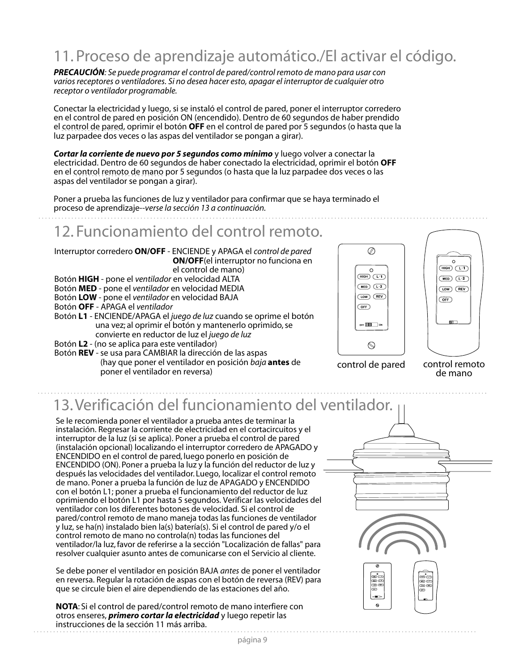## 11. Proceso de aprendizaje automático./El activar el código.

*PRECAUCIÓN: Se puede programar el control de pared/control remoto de mano para usar con varios receptores o ventiladores. Si no desea hacer esto, apagar el interruptor de cualquier otro receptor o ventilador programable.*

Conectar la electricidad y luego, si se instaló el control de pared, poner el interruptor corredero en el control de pared en posición ON (encendido). Dentro de 60 segundos de haber prendido el control de pared, oprimir el botón **OFF** en el control de pared por 5 segundos (o hasta que la luz parpadee dos veces o las aspas del ventilador se pongan a girar).

*Cortar la corriente de nuevo por 5 segundos como mínimo* y luego volver a conectar la electricidad. Dentro de 60 segundos de haber conectado la electricidad, oprimir el botón **OFF** en el control remoto de mano por 5 segundos (o hasta que la luz parpadee dos veces o las aspas del ventilador se pongan a girar).

Poner a prueba las funciones de luz y ventilador para confirmar que se haya terminado el proceso de aprendizaje--*verse la sección 13 a continuación.*

## 12. Funcionamiento del control remoto.

Interruptor corredero **ON/OFF** - ENCIENDE y APAGA el *control de pared* **ON/OFF**(el interruptor no funciona en el control de mano)

- Botón **HIGH** pone el *ventilador* en velocidad ALTA
- Botón **MED** pone el *ventilador* en velocidad MEDIA
- Botón **LOW** pone el *ventilador* en velocidad BAJA

Botón **OFF** - APAGA el *ventilador*

Botón **L1** - ENCIENDE/APAGA el *juego de luz* cuando se oprime el botón una vez; al oprimir el botón y mantenerlo oprimido, se convierte en reductor de luz el *juego de luz*

- Botón **L2**  (no se aplica para este ventilador)
- Botón **REV**  se usa para CAMBIAR la dirección de las aspas (hay que poner el ventilador en posición *baja* **antes** de poner el ventilador en reversa) control de pared control remoto

![](_page_20_Picture_14.jpeg)

![](_page_20_Picture_15.jpeg)

de mano

## 13. Verificación del funcionamiento del ventilador.

Se le recomienda poner el ventilador a prueba antes de terminar la instalación. Regresar la corriente de electricidad en el cortacircuitos y el interruptor de la luz (si se aplica). Poner a prueba el control de pared (instalación opcional) localizando el interruptor corredero de APAGADO y ENCENDIDO en el control de pared, luego ponerlo en posición de ENCENDIDO (ON). Poner a prueba la luz y la función del reductor de luz y después las velocidades del ventilador. Luego, localizar el control remoto de mano. Poner a prueba la función de luz de APAGADO y ENCENDIDO con el botón L1; poner a prueba el funcionamiento del reductor de luz oprimiendo el botón L1 por hasta 5 segundos. Verificar las velocidades del ventilador con los diferentes botones de velocidad. Si el control de pared/control remoto de mano maneja todas las funciones de ventilador y luz, se ha(n) instalado bien la(s) batería(s). Si el control de pared y/o el control remoto de mano no controla(n) todas las funciones del ventilador/la luz, favor de referirse a la sección "Localización de fallas" para resolver cualquier asunto antes de comunicarse con el Servicio al cliente.

Se debe poner el ventilador en posición BAJA *antes* de poner el ventilador en reversa. Regular la rotación de aspas con el botón de reversa (REV) para que se circule bien el aire dependiendo de las estaciones del año.

**NOTA**: Si el control de pared/control remoto de mano interfiere con otros enseres, *primero cortar la electricidad* y luego repetir las instrucciones de la sección 11 más arriba.

![](_page_20_Figure_22.jpeg)